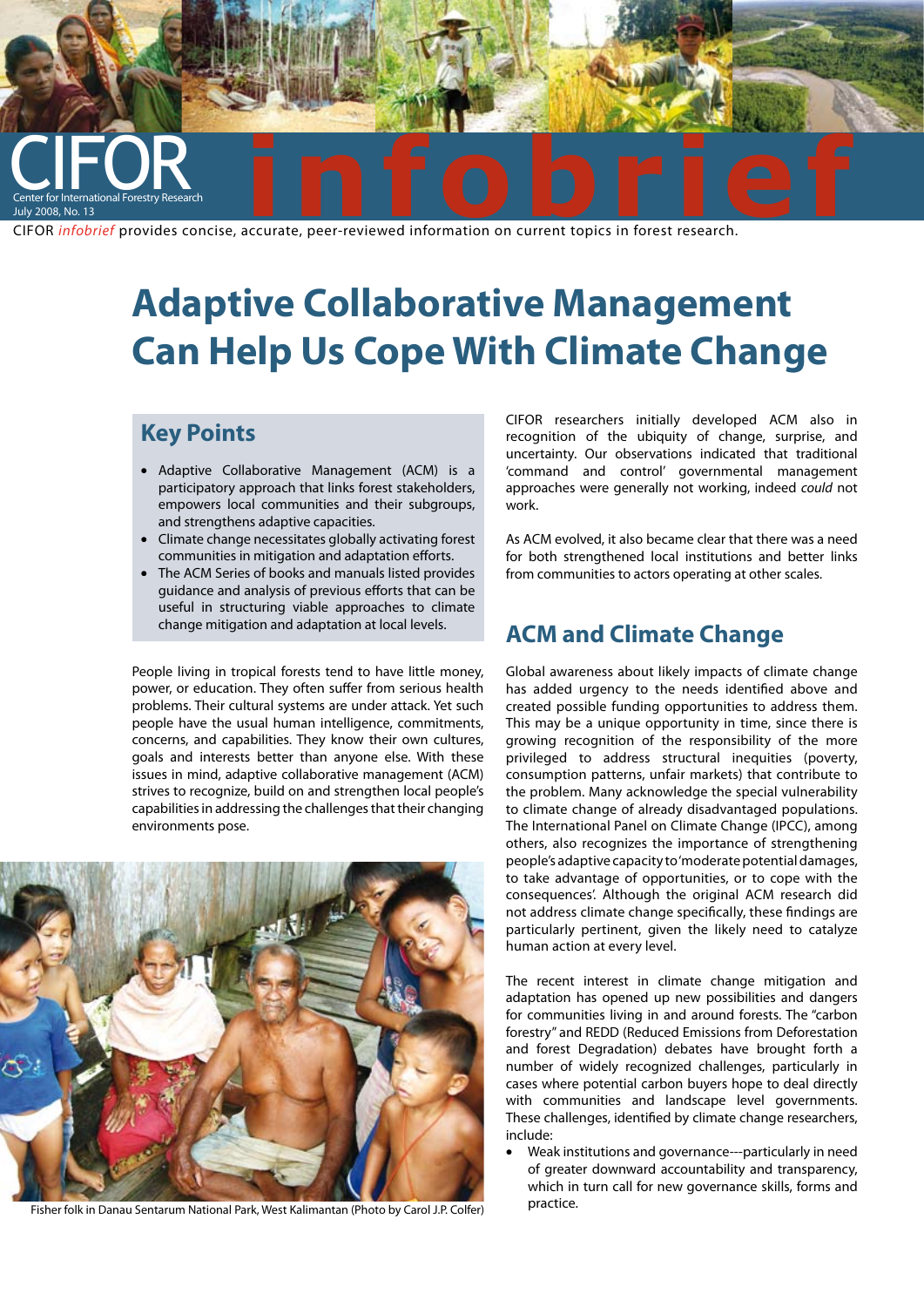

# **Adaptive Collaborative Management Can Help Us Cope With Climate Change**

### **Key Points**

- • Adaptive Collaborative Management (ACM) is a participatory approach that links forest stakeholders, empowers local communities and their subgroups, and strengthens adaptive capacities.
- • Climate change necessitates globally activating forest communities in mitigation and adaptation efforts.
- The ACM Series of books and manuals listed provides guidance and analysis of previous efforts that can be useful in structuring viable approaches to climate change mitigation and adaptation at local levels.

People living in tropical forests tend to have little money, power, or education. They often suffer from serious health problems. Their cultural systems are under attack. Yet such people have the usual human intelligence, commitments, concerns, and capabilities. They know their own cultures, goals and interests better than anyone else. With these issues in mind, adaptive collaborative management (ACM) strives to recognize, build on and strengthen local people's capabilities in addressing the challenges that their changing environments pose.



Fisher folk in Danau Sentarum National Park, West Kalimantan (Photo by Carol J.P. Colfer)

CIFOR researchers initially developed ACM also in recognition of the ubiquity of change, surprise, and uncertainty. Our observations indicated that traditional 'command and control' governmental management approaches were generally not working, indeed *could* not work.

As ACM evolved, it also became clear that there was a need for both strengthened local institutions and better links from communities to actors operating at other scales.

### **ACM and Climate Change**

Global awareness about likely impacts of climate change has added urgency to the needs identified above and created possible funding opportunities to address them. This may be a unique opportunity in time, since there is growing recognition of the responsibility of the more privileged to address structural inequities (poverty, consumption patterns, unfair markets) that contribute to the problem. Many acknowledge the special vulnerability to climate change of already disadvantaged populations. The International Panel on Climate Change (IPCC), among others, also recognizes the importance of strengthening people's adaptive capacity to 'moderate potential damages, to take advantage of opportunities, or to cope with the consequences'. Although the original ACM research did not address climate change specifically, these findings are particularly pertinent, given the likely need to catalyze human action at every level.

The recent interest in climate change mitigation and adaptation has opened up new possibilities and dangers for communities living in and around forests. The "carbon forestry" and REDD (Reduced Emissions from Deforestation and forest Degradation) debates have brought forth a number of widely recognized challenges, particularly in cases where potential carbon buyers hope to deal directly with communities and landscape level governments. These challenges, identified by climate change researchers, include:

Weak institutions and governance---particularly in need of greater downward accountability and transparency, which in turn call for new governance skills, forms and practice.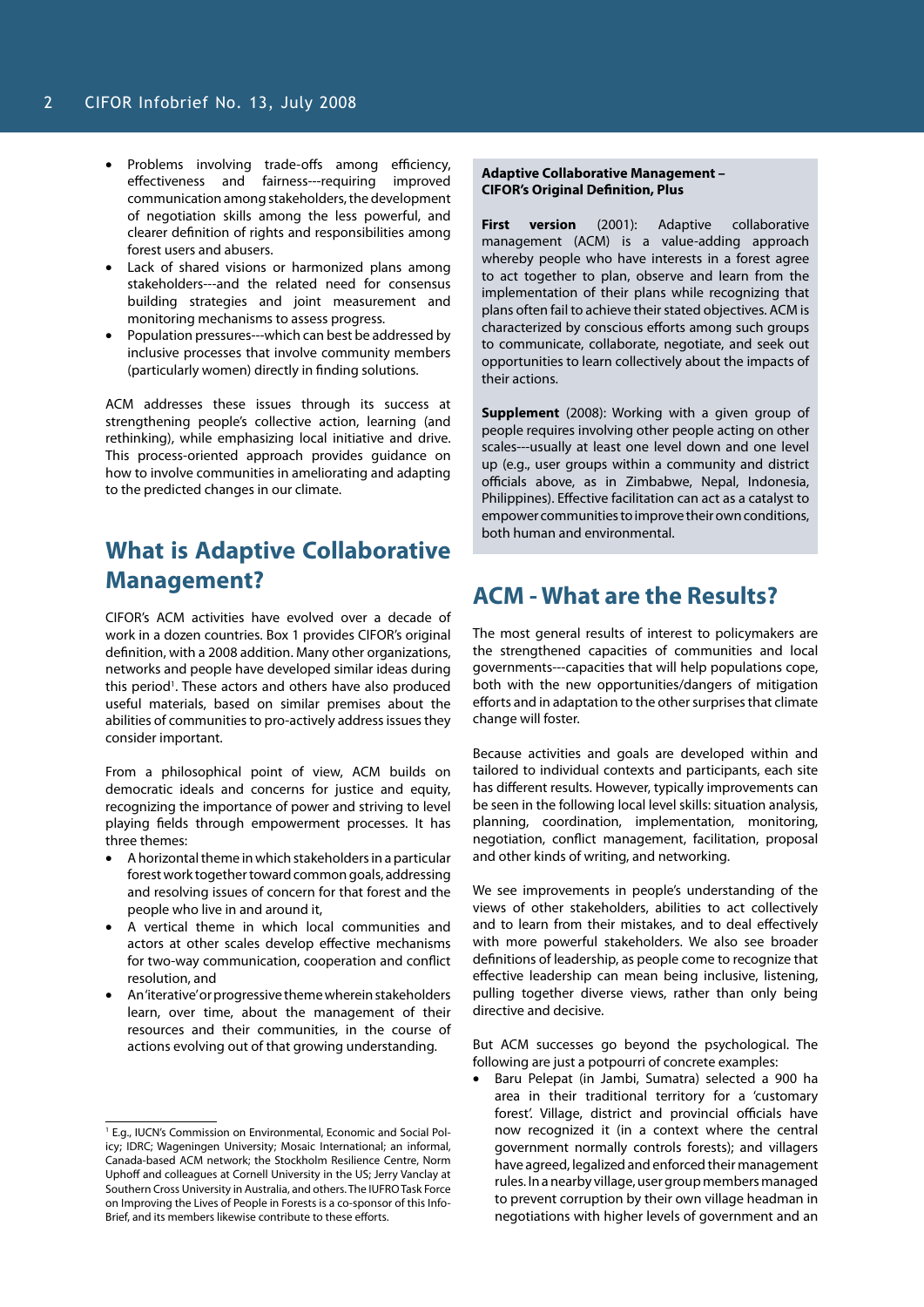- • Problems involving trade-offs among efficiency, effectiveness and fairness---requiring improved communication among stakeholders, the development of negotiation skills among the less powerful, and clearer definition of rights and responsibilities among forest users and abusers.
- Lack of shared visions or harmonized plans among stakeholders---and the related need for consensus building strategies and joint measurement and monitoring mechanisms to assess progress.
- Population pressures---which can best be addressed by inclusive processes that involve community members (particularly women) directly in finding solutions.

ACM addresses these issues through its success at strengthening people's collective action, learning (and rethinking), while emphasizing local initiative and drive. This process-oriented approach provides guidance on how to involve communities in ameliorating and adapting to the predicted changes in our climate.

## **What is Adaptive Collaborative Management?**

CIFOR's ACM activities have evolved over a decade of work in a dozen countries. Box 1 provides CIFOR's original definition, with a 2008 addition. Many other organizations, networks and people have developed similar ideas during this period<sup>1</sup>. These actors and others have also produced useful materials, based on similar premises about the abilities of communities to pro-actively address issues they consider important.

From a philosophical point of view, ACM builds on democratic ideals and concerns for justice and equity, recognizing the importance of power and striving to level playing fields through empowerment processes. It has three themes:

- A horizontal theme in which stakeholders in a particular forest work together toward common goals, addressing and resolving issues of concern for that forest and the people who live in and around it,
- A vertical theme in which local communities and actors at other scales develop effective mechanisms for two-way communication, cooperation and conflict resolution, and
- • An 'iterative' or progressive theme wherein stakeholders learn, over time, about the management of their resources and their communities, in the course of actions evolving out of that growing understanding.

#### **Adaptive Collaborative Management – CIFOR's Original Definition, Plus**

**First version** (2001): Adaptive collaborative management (ACM) is a value-adding approach whereby people who have interests in a forest agree to act together to plan, observe and learn from the implementation of their plans while recognizing that plans often fail to achieve their stated objectives. ACM is characterized by conscious efforts among such groups to communicate, collaborate, negotiate, and seek out opportunities to learn collectively about the impacts of their actions.

**Supplement** (2008): Working with a given group of people requires involving other people acting on other scales---usually at least one level down and one level up (e.g., user groups within a community and district officials above, as in Zimbabwe, Nepal, Indonesia, Philippines). Effective facilitation can act as a catalyst to empower communities to improve their own conditions, both human and environmental.

### **ACM - What are the Results?**

The most general results of interest to policymakers are the strengthened capacities of communities and local governments---capacities that will help populations cope, both with the new opportunities/dangers of mitigation efforts and in adaptation to the other surprises that climate change will foster.

Because activities and goals are developed within and tailored to individual contexts and participants, each site has different results. However, typically improvements can be seen in the following local level skills: situation analysis, planning, coordination, implementation, monitoring, negotiation, conflict management, facilitation, proposal and other kinds of writing, and networking.

We see improvements in people's understanding of the views of other stakeholders, abilities to act collectively and to learn from their mistakes, and to deal effectively with more powerful stakeholders. We also see broader definitions of leadership, as people come to recognize that effective leadership can mean being inclusive, listening, pulling together diverse views, rather than only being directive and decisive.

But ACM successes go beyond the psychological. The following are just a potpourri of concrete examples:

Baru Pelepat (in Jambi, Sumatra) selected a 900 ha area in their traditional territory for a 'customary forest'. Village, district and provincial officials have now recognized it (in a context where the central government normally controls forests); and villagers have agreed, legalized and enforced their management rules. In a nearby village, user group members managed to prevent corruption by their own village headman in negotiations with higher levels of government and an

<sup>&</sup>lt;sup>1</sup> E.g., IUCN's Commission on Environmental, Economic and Social Policy; IDRC; Wageningen University; Mosaic International; an informal, Canada-based ACM network; the Stockholm Resilience Centre, Norm Uphoff and colleagues at Cornell University in the US; Jerry Vanclay at Southern Cross University in Australia, and others. The IUFRO Task Force on Improving the Lives of People in Forests is a co-sponsor of this Info-Brief, and its members likewise contribute to these efforts.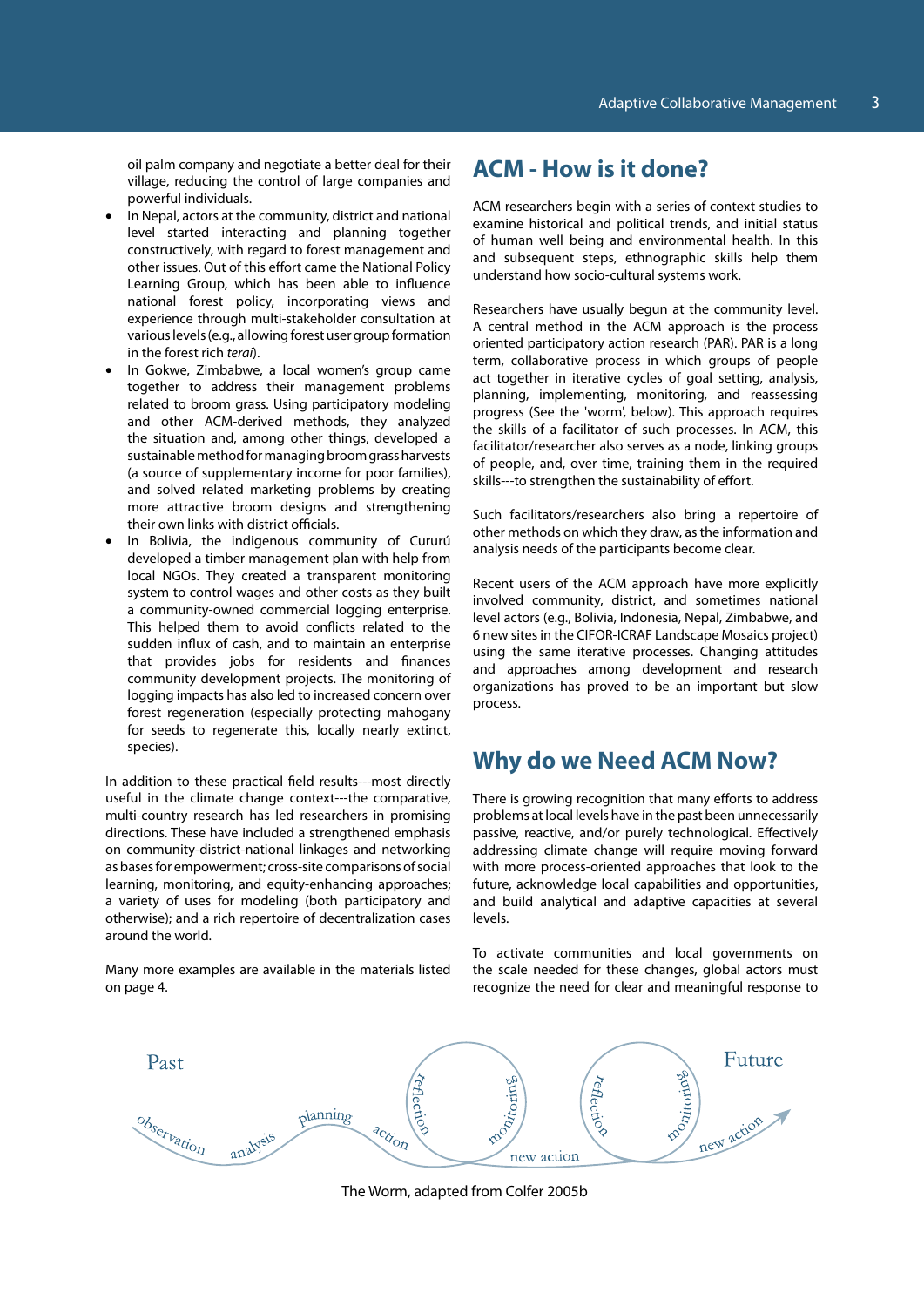oil palm company and negotiate a better deal for their village, reducing the control of large companies and powerful individuals.

- In Nepal, actors at the community, district and national level started interacting and planning together constructively, with regard to forest management and other issues. Out of this effort came the National Policy Learning Group, which has been able to influence national forest policy, incorporating views and experience through multi-stakeholder consultation at various levels (e.g., allowing forest user group formation in the forest rich *terai*).
- In Gokwe, Zimbabwe, a local women's group came together to address their management problems related to broom grass. Using participatory modeling and other ACM-derived methods, they analyzed the situation and, among other things, developed a sustainable method for managing broom grass harvests (a source of supplementary income for poor families), and solved related marketing problems by creating more attractive broom designs and strengthening their own links with district officials.
- In Bolivia, the indigenous community of Cururú developed a timber management plan with help from local NGOs. They created a transparent monitoring system to control wages and other costs as they built a community-owned commercial logging enterprise. This helped them to avoid conflicts related to the sudden influx of cash, and to maintain an enterprise that provides jobs for residents and finances community development projects. The monitoring of logging impacts has also led to increased concern over forest regeneration (especially protecting mahogany for seeds to regenerate this, locally nearly extinct, species).

In addition to these practical field results---most directly useful in the climate change context---the comparative, multi-country research has led researchers in promising directions. These have included a strengthened emphasis on community-district-national linkages and networking as bases for empowerment; cross-site comparisons of social learning, monitoring, and equity-enhancing approaches; a variety of uses for modeling (both participatory and otherwise); and a rich repertoire of decentralization cases around the world.

Many more examples are available in the materials listed on page 4.

### **ACM - How is it done?**

ACM researchers begin with a series of context studies to examine historical and political trends, and initial status of human well being and environmental health. In this and subsequent steps, ethnographic skills help them understand how socio-cultural systems work.

Researchers have usually begun at the community level. A central method in the ACM approach is the process oriented participatory action research (PAR). PAR is a long term, collaborative process in which groups of people act together in iterative cycles of goal setting, analysis, planning, implementing, monitoring, and reassessing progress (See the 'worm', below). This approach requires the skills of a facilitator of such processes. In ACM, this facilitator/researcher also serves as a node, linking groups of people, and, over time, training them in the required skills---to strengthen the sustainability of effort.

Such facilitators/researchers also bring a repertoire of other methods on which they draw, as the information and analysis needs of the participants become clear.

Recent users of the ACM approach have more explicitly involved community, district, and sometimes national level actors (e.g., Bolivia, Indonesia, Nepal, Zimbabwe, and 6 new sites in the CIFOR-ICRAF Landscape Mosaics project) using the same iterative processes. Changing attitudes and approaches among development and research organizations has proved to be an important but slow process.

### **Why do we Need ACM Now?**

There is growing recognition that many efforts to address problems at local levels have in the past been unnecessarily passive, reactive, and/or purely technological. Effectively addressing climate change will require moving forward with more process-oriented approaches that look to the future, acknowledge local capabilities and opportunities, and build analytical and adaptive capacities at several levels.

To activate communities and local governments on the scale needed for these changes, global actors must recognize the need for clear and meaningful response to



The Worm, adapted from Colfer 2005b